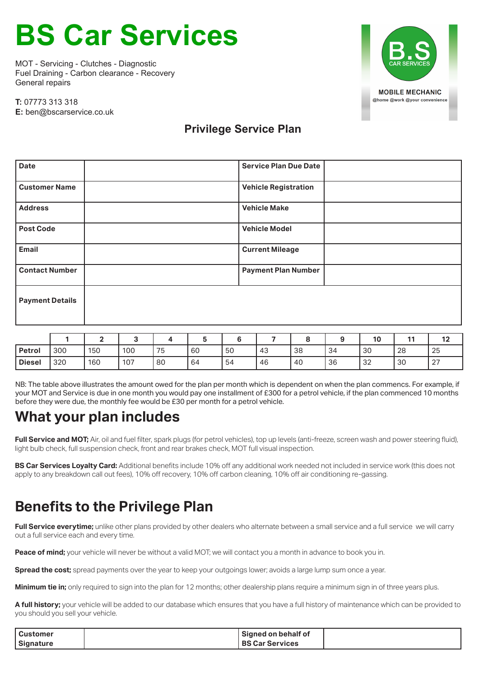# **BS Car Services**

MOT - Servicing - Clutches - Diagnostic Fuel Draining - Carbon clearance - Recovery General repairs



**T:** 07773 313 318 **E:** ben@bscarservice.co.uk

#### **Privilege Service Plan**

| <b>Date</b>            | <b>Service Plan Due Date</b> |
|------------------------|------------------------------|
| <b>Customer Name</b>   | <b>Vehicle Registration</b>  |
| <b>Address</b>         | <b>Vehicle Make</b>          |
| <b>Post Code</b>       | <b>Vehicle Model</b>         |
| Email                  | <b>Current Mileage</b>       |
| <b>Contact Number</b>  | <b>Payment Plan Number</b>   |
| <b>Payment Details</b> |                              |
|                        |                              |

|               |     |     |     |    |    |    |    |    |    | 10            | 4 A | . .              |
|---------------|-----|-----|-----|----|----|----|----|----|----|---------------|-----|------------------|
| <b>Petrol</b> | 300 | 150 | 100 | 75 | 60 | 50 | 43 | 38 | 34 | 30            | 28  | 25               |
| <b>Diesel</b> | 320 | 160 | 107 | 80 | 64 | 54 | 46 | 40 | 36 | $\sim$<br>ے ت | 30  | $\sim$<br>$\sim$ |

NB: The table above illustrates the amount owed for the plan per month which is dependent on when the plan commencs. For example, if your MOT and Service is due in one month you would pay one installment of £300 for a petrol vehicle, if the plan commenced 10 months before they were due, the monthly fee would be £30 per month for a petrol vehicle.

### **What your plan includes**

**Full Service and MOT;** Air, oil and fuel filter, spark plugs (for petrol vehicles), top up levels (anti-freeze, screen wash and power steering fluid), light bulb check, full suspension check, front and rear brakes check, MOT full visual inspection.

**BS Car Services Loyalty Card:** Additional benefits include 10% off any additional work needed not included in service work (this does not apply to any breakdown call out fees), 10% off recovery, 10% off carbon cleaning, 10% off air conditioning re-gassing.

### **Benefits to the Privilege Plan**

Full Service everytime; unlike other plans provided by other dealers who alternate between a small service and a full service we will carry out a full service each and every time.

**Peace of mind;** your vehicle will never be without a valid MOT; we will contact you a month in advance to book you in.

**Spread the cost;** spread payments over the year to keep your outgoings lower; avoids a large lump sum once a year.

**Minimum tie in:** only required to sign into the plan for 12 months; other dealership plans require a minimum sign in of three years plus.

**A full history;** your vehicle will be added to our database which ensures that you have a full history of maintenance which can be provided to you should you sell your vehicle.

| <b>Customer</b>  | Signed on behalf of    |  |
|------------------|------------------------|--|
| <b>Signature</b> | <b>BS Car Services</b> |  |